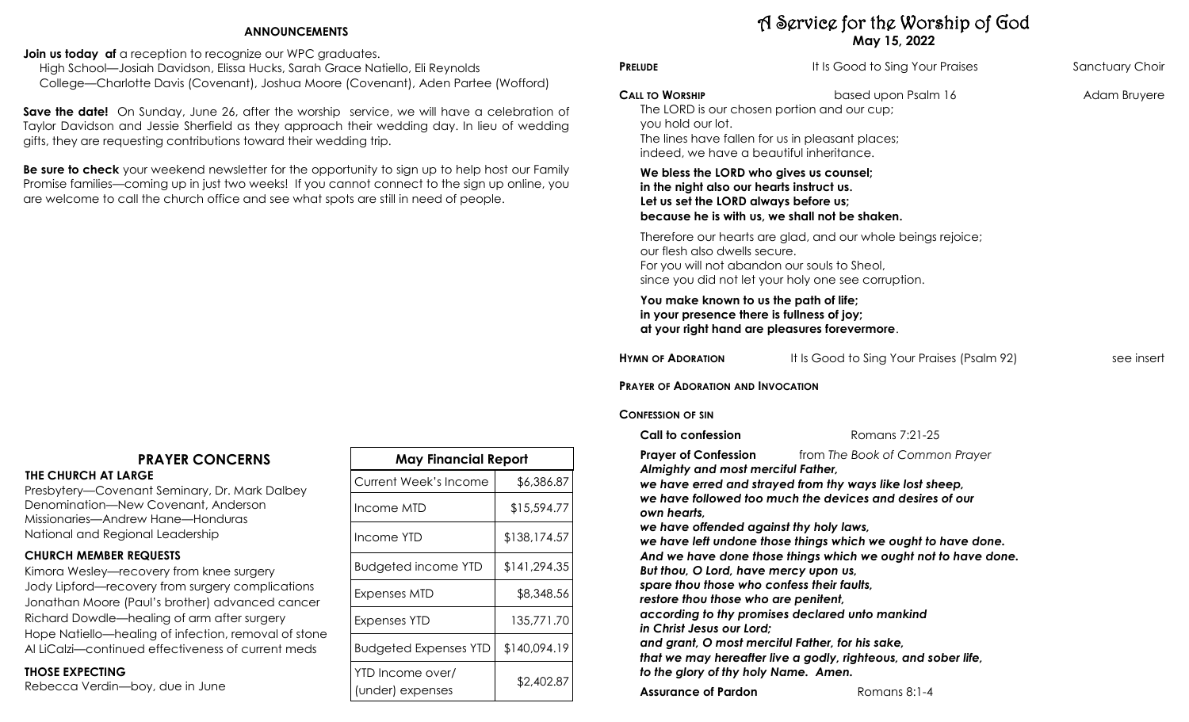### **ANNOUNCEMENTS**

**Join us today af** a reception to recognize our WPC graduates.

 High School—Josiah Davidson, Elissa Hucks, Sarah Grace Natiello, Eli Reynolds College—Charlotte Davis (Covenant), Joshua Moore (Covenant), Aden Partee (Wofford)

**Save the date!** On Sunday, June 26, after the worship service, we will have a celebration of Taylor Davidson and Jessie Sherfield as they approach their wedding day. In lieu of wedding gifts, they are requesting contributions toward their wedding trip.

**Be sure to check** your weekend newsletter for the opportunity to sign up to help host our Family Promise families—coming up in just two weeks! If you cannot connect to the sign up online, you are welcome to call the church office and see what spots are still in need of people.

# **PRAYER CONCERNS**

**THE CHURCH AT LARGE**  Presbytery—Covenant Seminary, Dr. Mark Dalbey Denomination—New Covenant, Anderson Missionaries—Andrew Hane—Honduras National and Regional Leadership

# **CHURCH MEMBER REQUESTS**

Kimora Wesley—recovery from knee surgery Jody Lipford—recovery from surgery complications Jonathan Moore (Paul's brother) advanced cancer Richard Dowdle—healing of arm after surgery Hope Natiello—healing of infection, removal of stone Al LiCalzi—continued effectiveness of current meds

# **THOSE EXPECTING**

Rebecca Verdin—boy, due in June

| <b>May Financial Report</b>          |              |  |
|--------------------------------------|--------------|--|
| <b>Current Week's Income</b>         | \$6,386.87   |  |
| Income MTD                           | \$15,594.77  |  |
| <b>Income YTD</b>                    | \$138,174.57 |  |
| <b>Budgeted income YTD</b>           | \$141,294.35 |  |
| Expenses MTD                         | \$8,348.56   |  |
| <b>Expenses YTD</b>                  | 135,771.70   |  |
| Budgeted Expenses YTD                | \$140,094.19 |  |
| YTD Income over/<br>(under) expenses | \$2,402.87   |  |

# A Service for the Worship of God **May 15, 2022**

| <b>PRELUDE</b>                                                                                                                                                                                                                                                                                                                  | It Is Good to Sing Your Praises                                                                                                                                                                                                                                                                                                                                                                                                                                    | Sanctuary Choir |
|---------------------------------------------------------------------------------------------------------------------------------------------------------------------------------------------------------------------------------------------------------------------------------------------------------------------------------|--------------------------------------------------------------------------------------------------------------------------------------------------------------------------------------------------------------------------------------------------------------------------------------------------------------------------------------------------------------------------------------------------------------------------------------------------------------------|-----------------|
| <b>CALL TO WORSHIP</b><br>you hold our lot.<br>indeed, we have a beautiful inheritance.                                                                                                                                                                                                                                         | based upon Psalm 16<br>The LORD is our chosen portion and our cup;<br>The lines have fallen for us in pleasant places;                                                                                                                                                                                                                                                                                                                                             | Adam Bruyere    |
| We bless the LORD who gives us counsel;<br>in the night also our hearts instruct us.<br>Let us set the LORD always before us;                                                                                                                                                                                                   | because he is with us, we shall not be shaken.                                                                                                                                                                                                                                                                                                                                                                                                                     |                 |
| our flesh also dwells secure.<br>For you will not abandon our souls to Sheol,                                                                                                                                                                                                                                                   | Therefore our hearts are glad, and our whole beings rejoice;<br>since you did not let your holy one see corruption.                                                                                                                                                                                                                                                                                                                                                |                 |
| You make known to us the path of life;<br>in your presence there is fullness of joy;                                                                                                                                                                                                                                            | at your right hand are pleasures forevermore.                                                                                                                                                                                                                                                                                                                                                                                                                      |                 |
| <b>HYMN OF ADORATION</b>                                                                                                                                                                                                                                                                                                        | It Is Good to Sing Your Praises (Psalm 92)                                                                                                                                                                                                                                                                                                                                                                                                                         | see insert      |
| <b>PRAYER OF ADORATION AND INVOCATION</b>                                                                                                                                                                                                                                                                                       |                                                                                                                                                                                                                                                                                                                                                                                                                                                                    |                 |
| <b>CONFESSION OF SIN</b>                                                                                                                                                                                                                                                                                                        |                                                                                                                                                                                                                                                                                                                                                                                                                                                                    |                 |
| Call to confession                                                                                                                                                                                                                                                                                                              | Romans 7:21-25                                                                                                                                                                                                                                                                                                                                                                                                                                                     |                 |
| <b>Prayer of Confession</b><br>Almighty and most merciful Father,<br>own hearts,<br>we have offended against thy holy laws,<br>But thou, O Lord, have mercy upon us,<br>spare thou those who confess their faults,<br>restore thou those who are penitent,<br>in Christ Jesus our Lord;<br>to the alory of thy holy Name. Amen. | from The Book of Common Prayer<br>we have erred and strayed from thy ways like lost sheep,<br>we have followed too much the devices and desires of our<br>we have left undone those things which we ought to have done.<br>And we have done those things which we ought not to have done.<br>according to thy promises declared unto mankind<br>and grant, O most merciful Father, for his sake,<br>that we may hereafter live a godly, righteous, and sober life, |                 |

**Assurance of Pardon** Romans 8:1-4